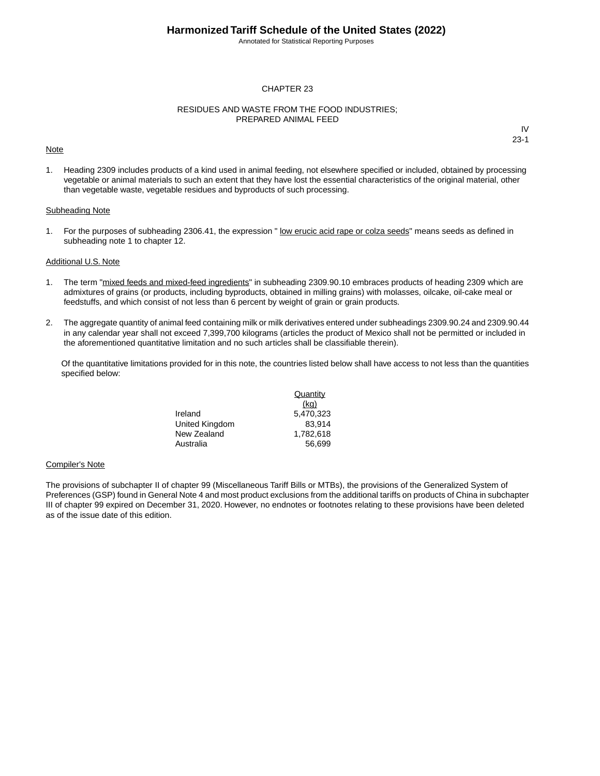Annotated for Statistical Reporting Purposes

### CHAPTER 23

### RESIDUES AND WASTE FROM THE FOOD INDUSTRIES; PREPARED ANIMAL FEED

#### Note

IV 23-1

1. Heading 2309 includes products of a kind used in animal feeding, not elsewhere specified or included, obtained by processing vegetable or animal materials to such an extent that they have lost the essential characteristics of the original material, other than vegetable waste, vegetable residues and byproducts of such processing.

### Subheading Note

1. For the purposes of subheading 2306.41, the expression " low erucic acid rape or colza seeds" means seeds as defined in subheading note 1 to chapter 12.

### Additional U.S. Note

- 1. The term "mixed feeds and mixed-feed ingredients" in subheading 2309.90.10 embraces products of heading 2309 which are admixtures of grains (or products, including byproducts, obtained in milling grains) with molasses, oilcake, oil-cake meal or feedstuffs, and which consist of not less than 6 percent by weight of grain or grain products.
- 2. The aggregate quantity of animal feed containing milk or milk derivatives entered under subheadings 2309.90.24 and 2309.90.44 in any calendar year shall not exceed 7,399,700 kilograms (articles the product of Mexico shall not be permitted or included in the aforementioned quantitative limitation and no such articles shall be classifiable therein).

Of the quantitative limitations provided for in this note, the countries listed below shall have access to not less than the quantities specified below:

|                | Quantity  |
|----------------|-----------|
|                | (kq)      |
| Ireland        | 5.470.323 |
| United Kingdom | 83.914    |
| New Zealand    | 1.782.618 |
| Australia      | 56.699    |

#### Compiler's Note

The provisions of subchapter II of chapter 99 (Miscellaneous Tariff Bills or MTBs), the provisions of the Generalized System of Preferences (GSP) found in General Note 4 and most product exclusions from the additional tariffs on products of China in subchapter III of chapter 99 expired on December 31, 2020. However, no endnotes or footnotes relating to these provisions have been deleted as of the issue date of this edition.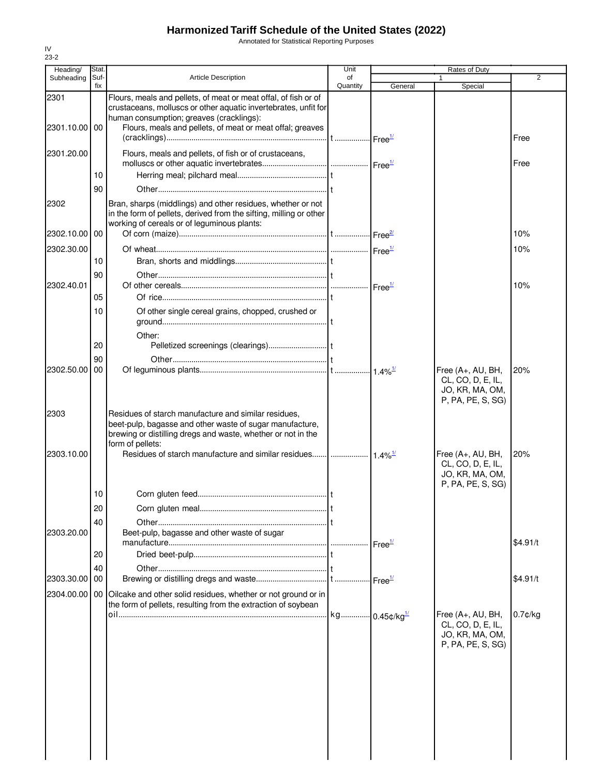Annotated for Statistical Reporting Purposes

| Heading/      | Stat.       |                                                                                                                                                                                                      | Unit           |         | Rates of Duty                                                                  |            |
|---------------|-------------|------------------------------------------------------------------------------------------------------------------------------------------------------------------------------------------------------|----------------|---------|--------------------------------------------------------------------------------|------------|
| Subheading    | Suf-<br>fix | <b>Article Description</b>                                                                                                                                                                           | of<br>Quantity | General | Special                                                                        | 2          |
| 2301          |             | Flours, meals and pellets, of meat or meat offal, of fish or of<br>crustaceans, molluscs or other aquatic invertebrates, unfit for<br>human consumption; greaves (cracklings):                       |                |         |                                                                                |            |
| 2301.10.00 00 |             | Flours, meals and pellets, of meat or meat offal; greaves                                                                                                                                            |                |         |                                                                                | Free       |
| 2301.20.00    |             | Flours, meals and pellets, of fish or of crustaceans,                                                                                                                                                |                |         |                                                                                | Free       |
|               | 10          |                                                                                                                                                                                                      |                |         |                                                                                |            |
|               | 90          |                                                                                                                                                                                                      |                |         |                                                                                |            |
| 2302          |             | Bran, sharps (middlings) and other residues, whether or not<br>in the form of pellets, derived from the sifting, milling or other<br>working of cereals or of leguminous plants:                     |                |         |                                                                                |            |
| 2302.10.00    | 00          |                                                                                                                                                                                                      |                |         |                                                                                | 10%        |
| 2302.30.00    |             |                                                                                                                                                                                                      |                |         |                                                                                | 10%        |
|               | 10          |                                                                                                                                                                                                      |                |         |                                                                                |            |
| 2302.40.01    | 90          |                                                                                                                                                                                                      |                |         |                                                                                | 10%        |
|               | 05          |                                                                                                                                                                                                      |                |         |                                                                                |            |
|               | 10          | Of other single cereal grains, chopped, crushed or                                                                                                                                                   |                |         |                                                                                |            |
|               |             | Other:                                                                                                                                                                                               |                |         |                                                                                |            |
|               | 20          |                                                                                                                                                                                                      |                |         |                                                                                |            |
| 2302.50.00    | 90<br>00    |                                                                                                                                                                                                      |                |         |                                                                                | 20%        |
|               |             |                                                                                                                                                                                                      |                |         | Free (A+, AU, BH,<br>CL, CO, D, E, IL,<br>JO, KR, MA, OM,<br>P, PA, PE, S, SG) |            |
| 2303          |             | Residues of starch manufacture and similar residues,<br>beet-pulp, bagasse and other waste of sugar manufacture,<br>brewing or distilling dregs and waste, whether or not in the<br>form of pellets: |                |         |                                                                                |            |
| 2303.10.00    |             |                                                                                                                                                                                                      |                |         | Free (A+, AU, BH,<br>CL, CO, D, E, IL,<br>JO, KR, MA, OM,<br>P, PA, PE, S, SG) | 20%        |
|               | 10          |                                                                                                                                                                                                      |                |         |                                                                                |            |
|               | 20          |                                                                                                                                                                                                      |                |         |                                                                                |            |
|               | 40          |                                                                                                                                                                                                      |                |         |                                                                                |            |
| 2303.20.00    |             | Beet-pulp, bagasse and other waste of sugar                                                                                                                                                          |                |         |                                                                                | \$4.91/t   |
|               | 20          |                                                                                                                                                                                                      |                |         |                                                                                |            |
| 2303.30.00    | 40<br>00    |                                                                                                                                                                                                      |                |         |                                                                                | \$4.91/t   |
| 2304.00.00    |             | 00 Oilcake and other solid residues, whether or not ground or in<br>the form of pellets, resulting from the extraction of soybean                                                                    |                |         |                                                                                |            |
|               |             |                                                                                                                                                                                                      |                |         | Free (A+, AU, BH,<br>CL, CO, D, E, IL,<br>JO, KR, MA, OM,<br>P, PA, PE, S, SG) | $0.7$ ¢/kg |
|               |             |                                                                                                                                                                                                      |                |         |                                                                                |            |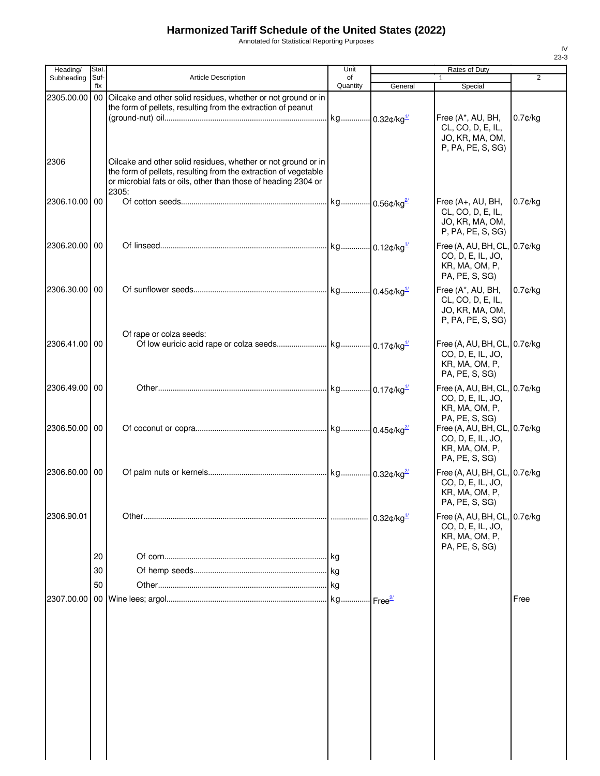Annotated for Statistical Reporting Purposes

| Heading/      | Stat. |                                                                                                                                   | Unit                      |                                  | Rates of Duty                        |                |
|---------------|-------|-----------------------------------------------------------------------------------------------------------------------------------|---------------------------|----------------------------------|--------------------------------------|----------------|
| Subheading    | Suf-  | <b>Article Description</b>                                                                                                        | of                        |                                  |                                      | $\overline{2}$ |
|               | fix   |                                                                                                                                   | Quantity                  | General                          | Special                              |                |
| 2305.00.00    | 00    | Oilcake and other solid residues, whether or not ground or in                                                                     |                           |                                  |                                      |                |
|               |       | the form of pellets, resulting from the extraction of peanut                                                                      |                           |                                  |                                      |                |
|               |       |                                                                                                                                   | kg 0.32¢/kg <sup>1/</sup> |                                  | Free (A*, AU, BH,                    | $0.7$ ¢/kg     |
|               |       |                                                                                                                                   |                           |                                  | CL, CO, D, E, IL,<br>JO, KR, MA, OM, |                |
|               |       |                                                                                                                                   |                           |                                  | P, PA, PE, S, SG)                    |                |
|               |       |                                                                                                                                   |                           |                                  |                                      |                |
| 2306          |       | Oilcake and other solid residues, whether or not ground or in                                                                     |                           |                                  |                                      |                |
|               |       | the form of pellets, resulting from the extraction of vegetable<br>or microbial fats or oils, other than those of heading 2304 or |                           |                                  |                                      |                |
|               |       | 2305:                                                                                                                             |                           |                                  |                                      |                |
| 2306.10.00 00 |       |                                                                                                                                   |                           |                                  | Free (A+, AU, BH,                    | $0.7$ ¢/kg     |
|               |       |                                                                                                                                   |                           |                                  | CL, CO, D, E, IL,                    |                |
|               |       |                                                                                                                                   |                           |                                  | JO, KR, MA, OM,                      |                |
|               |       |                                                                                                                                   |                           |                                  | P, PA, PE, S, SG)                    |                |
| 2306.20.00 00 |       |                                                                                                                                   |                           |                                  | Free (A, AU, BH, CL, 0.7¢/kg         |                |
|               |       |                                                                                                                                   |                           |                                  | CO, D, E, IL, JO,                    |                |
|               |       |                                                                                                                                   |                           |                                  | KR, MA, OM, P,                       |                |
|               |       |                                                                                                                                   |                           |                                  | PA, PE, S, SG)                       |                |
| 2306.30.00 00 |       |                                                                                                                                   |                           |                                  | Free (A*, AU, BH,                    | $0.7$ ¢/kg     |
|               |       |                                                                                                                                   |                           |                                  | CL, CO, D, E, IL,                    |                |
|               |       |                                                                                                                                   |                           |                                  | JO, KR, MA, OM,                      |                |
|               |       |                                                                                                                                   |                           |                                  | P, PA, PE, S, SG)                    |                |
|               |       | Of rape or colza seeds:                                                                                                           |                           |                                  |                                      |                |
| 2306.41.00 00 |       |                                                                                                                                   |                           |                                  | Free (A, AU, BH, CL, 0.7¢/kg         |                |
|               |       |                                                                                                                                   |                           |                                  | CO, D, E, IL, JO,                    |                |
|               |       |                                                                                                                                   |                           |                                  | KR, MA, OM, P,                       |                |
|               |       |                                                                                                                                   |                           |                                  | PA, PE, S, SG)                       |                |
| 2306.49.00 00 |       |                                                                                                                                   |                           |                                  | Free (A, AU, BH, CL, 0.7¢/kg         |                |
|               |       |                                                                                                                                   |                           |                                  | CO, D, E, IL, JO,                    |                |
|               |       |                                                                                                                                   |                           |                                  | KR, MA, OM, P,                       |                |
|               |       |                                                                                                                                   |                           |                                  | PA, PE, S, SG)                       |                |
| 2306.50.00 00 |       |                                                                                                                                   |                           |                                  | Free (A, AU, BH, CL, 0.7¢/kg         |                |
|               |       |                                                                                                                                   |                           |                                  | CO, D, E, IL, JO,                    |                |
|               |       |                                                                                                                                   |                           |                                  | KR, MA, OM, P,<br>PA, PE, S, SG)     |                |
|               |       |                                                                                                                                   |                           |                                  |                                      |                |
| 2306.60.00 00 |       |                                                                                                                                   |                           |                                  | Free (A, AU, BH, CL, 0.7¢/kg         |                |
|               |       |                                                                                                                                   |                           |                                  | CO, D, E, IL, JO,                    |                |
|               |       |                                                                                                                                   |                           |                                  | KR, MA, OM, P,                       |                |
|               |       |                                                                                                                                   |                           |                                  | PA, PE, S, SG)                       |                |
| 2306.90.01    |       |                                                                                                                                   |                           |                                  | Free (A, AU, BH, CL, 0.7¢/kg         |                |
|               |       |                                                                                                                                   |                           |                                  | CO, D, E, IL, JO,                    |                |
|               |       |                                                                                                                                   |                           |                                  | KR, MA, OM, P,<br>PA, PE, S, SG)     |                |
|               | 20    |                                                                                                                                   |                           |                                  |                                      |                |
|               |       |                                                                                                                                   |                           |                                  |                                      |                |
|               | 30    |                                                                                                                                   |                           |                                  |                                      |                |
|               | 50    |                                                                                                                                   | <b>kg</b>                 |                                  |                                      |                |
| 2307.00.00    |       |                                                                                                                                   | kg                        | ⊶l Free <del><sup>2</sup>′</del> |                                      | Free           |
|               |       |                                                                                                                                   |                           |                                  |                                      |                |
|               |       |                                                                                                                                   |                           |                                  |                                      |                |
|               |       |                                                                                                                                   |                           |                                  |                                      |                |
|               |       |                                                                                                                                   |                           |                                  |                                      |                |
|               |       |                                                                                                                                   |                           |                                  |                                      |                |
|               |       |                                                                                                                                   |                           |                                  |                                      |                |
|               |       |                                                                                                                                   |                           |                                  |                                      |                |
|               |       |                                                                                                                                   |                           |                                  |                                      |                |
|               |       |                                                                                                                                   |                           |                                  |                                      |                |
|               |       |                                                                                                                                   |                           |                                  |                                      |                |
|               |       |                                                                                                                                   |                           |                                  |                                      |                |
|               |       |                                                                                                                                   |                           |                                  |                                      |                |
|               |       |                                                                                                                                   |                           |                                  |                                      |                |
|               |       |                                                                                                                                   |                           |                                  |                                      |                |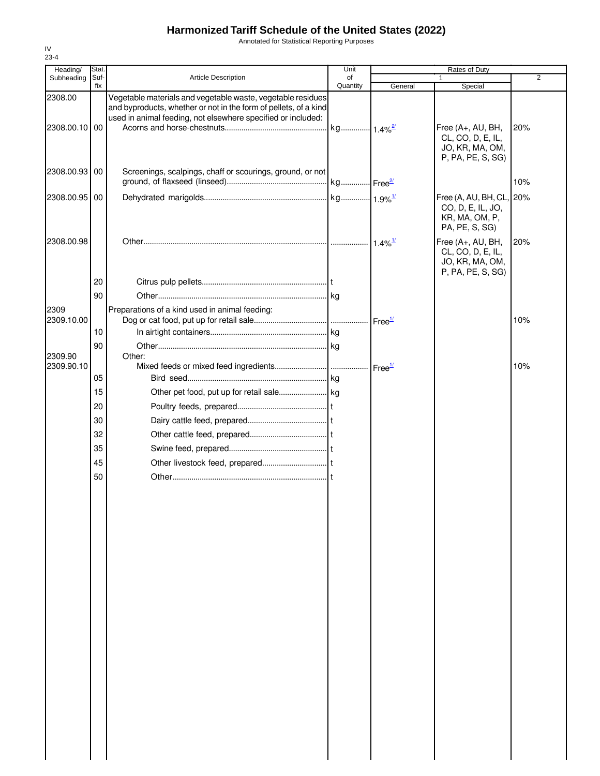Annotated for Statistical Reporting Purposes

| Heading/           | Stat.       |                                                                                                                                                                                                 | Unit                  |                       | Rates of Duty                                                                     |                |
|--------------------|-------------|-------------------------------------------------------------------------------------------------------------------------------------------------------------------------------------------------|-----------------------|-----------------------|-----------------------------------------------------------------------------------|----------------|
| Subheading         | Suf-<br>fix | Article Description                                                                                                                                                                             | of<br>Quantity        | General               | Special                                                                           | $\overline{2}$ |
| 2308.00            |             | Vegetable materials and vegetable waste, vegetable residues<br>and byproducts, whether or not in the form of pellets, of a kind<br>used in animal feeding, not elsewhere specified or included: |                       |                       |                                                                                   |                |
| 2308.00.10 00      |             |                                                                                                                                                                                                 | kg 1.4% <sup>2/</sup> |                       | Free (A+, AU, BH,<br>CL, CO, D, E, IL,<br>JO, KR, MA, OM,<br>P, PA, PE, S, SG)    | 20%            |
| 2308.00.93 00      |             | Screenings, scalpings, chaff or scourings, ground, or not                                                                                                                                       |                       |                       |                                                                                   | 10%            |
| 2308.00.95 00      |             |                                                                                                                                                                                                 |                       |                       | Free (A, AU, BH, CL, 20%<br>CO, D, E, IL, JO,<br>KR, MA, OM, P,<br>PA, PE, S, SG) |                |
| 2308.00.98         |             |                                                                                                                                                                                                 |                       | $1.4\%$ <sup>1/</sup> | Free (A+, AU, BH,<br>CL, CO, D, E, IL,<br>JO, KR, MA, OM,<br>P, PA, PE, S, SG)    | 20%            |
|                    | 20          |                                                                                                                                                                                                 |                       |                       |                                                                                   |                |
|                    | 90          |                                                                                                                                                                                                 |                       |                       |                                                                                   |                |
| 2309<br>2309.10.00 |             | Preparations of a kind used in animal feeding:                                                                                                                                                  |                       |                       |                                                                                   | 10%            |
|                    | 10          |                                                                                                                                                                                                 |                       |                       |                                                                                   |                |
|                    | 90          |                                                                                                                                                                                                 |                       |                       |                                                                                   |                |
| 2309.90            |             | Other:                                                                                                                                                                                          |                       |                       |                                                                                   |                |
| 2309.90.10         |             |                                                                                                                                                                                                 |                       |                       |                                                                                   | 10%            |
|                    | 05          |                                                                                                                                                                                                 |                       |                       |                                                                                   |                |
|                    | 15          |                                                                                                                                                                                                 |                       |                       |                                                                                   |                |
|                    | 20          |                                                                                                                                                                                                 |                       |                       |                                                                                   |                |
|                    | 30          |                                                                                                                                                                                                 |                       |                       |                                                                                   |                |
|                    | 32          |                                                                                                                                                                                                 |                       |                       |                                                                                   |                |
|                    | 35          |                                                                                                                                                                                                 |                       |                       |                                                                                   |                |
|                    | 45          |                                                                                                                                                                                                 |                       |                       |                                                                                   |                |
|                    | 50          |                                                                                                                                                                                                 |                       |                       |                                                                                   |                |
|                    |             |                                                                                                                                                                                                 |                       |                       |                                                                                   |                |
|                    |             |                                                                                                                                                                                                 |                       |                       |                                                                                   |                |
|                    |             |                                                                                                                                                                                                 |                       |                       |                                                                                   |                |
|                    |             |                                                                                                                                                                                                 |                       |                       |                                                                                   |                |
|                    |             |                                                                                                                                                                                                 |                       |                       |                                                                                   |                |
|                    |             |                                                                                                                                                                                                 |                       |                       |                                                                                   |                |
|                    |             |                                                                                                                                                                                                 |                       |                       |                                                                                   |                |
|                    |             |                                                                                                                                                                                                 |                       |                       |                                                                                   |                |
|                    |             |                                                                                                                                                                                                 |                       |                       |                                                                                   |                |
|                    |             |                                                                                                                                                                                                 |                       |                       |                                                                                   |                |
|                    |             |                                                                                                                                                                                                 |                       |                       |                                                                                   |                |
|                    |             |                                                                                                                                                                                                 |                       |                       |                                                                                   |                |
|                    |             |                                                                                                                                                                                                 |                       |                       |                                                                                   |                |
|                    |             |                                                                                                                                                                                                 |                       |                       |                                                                                   |                |
|                    |             |                                                                                                                                                                                                 |                       |                       |                                                                                   |                |
|                    |             |                                                                                                                                                                                                 |                       |                       |                                                                                   |                |
|                    |             |                                                                                                                                                                                                 |                       |                       |                                                                                   |                |
|                    |             |                                                                                                                                                                                                 |                       |                       |                                                                                   |                |
|                    |             |                                                                                                                                                                                                 |                       |                       |                                                                                   |                |
|                    |             |                                                                                                                                                                                                 |                       |                       |                                                                                   |                |
|                    |             |                                                                                                                                                                                                 |                       |                       |                                                                                   |                |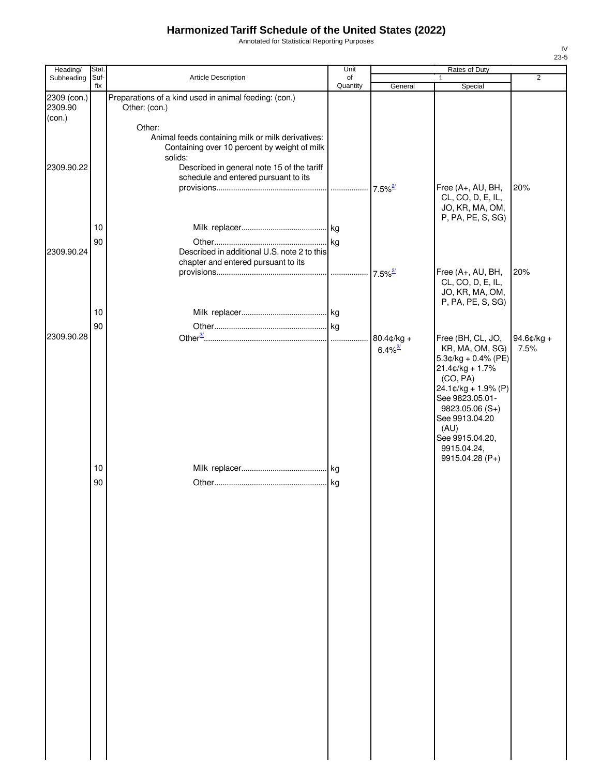Annotated for Statistical Reporting Purposes

| Heading/               | Stat.       |                                                                                                                                                                                                              | Unit           | Rates of Duty                          |                                                                                                                                                                                                                                              |                       |  |
|------------------------|-------------|--------------------------------------------------------------------------------------------------------------------------------------------------------------------------------------------------------------|----------------|----------------------------------------|----------------------------------------------------------------------------------------------------------------------------------------------------------------------------------------------------------------------------------------------|-----------------------|--|
| Subheading             | Suf-<br>fix | Article Description                                                                                                                                                                                          | of<br>Quantity | General                                | 1<br>Special                                                                                                                                                                                                                                 | $\overline{2}$        |  |
| 2309 (con.)<br>2309.90 |             | Preparations of a kind used in animal feeding: (con.)<br>Other: (con.)                                                                                                                                       |                |                                        |                                                                                                                                                                                                                                              |                       |  |
| (con.)<br>2309.90.22   |             | Other:<br>Animal feeds containing milk or milk derivatives:<br>Containing over 10 percent by weight of milk<br>solids:<br>Described in general note 15 of the tariff<br>schedule and entered pursuant to its |                |                                        |                                                                                                                                                                                                                                              |                       |  |
|                        |             |                                                                                                                                                                                                              |                | $7.5\%$ <sup>2/</sup>                  | Free (A+, AU, BH,<br>CL, CO, D, E, IL,<br>JO, KR, MA, OM,<br>P, PA, PE, S, SG)                                                                                                                                                               | 20%                   |  |
| 2309.90.24             | 10<br>90    | Described in additional U.S. note 2 to this<br>chapter and entered pursuant to its                                                                                                                           |                |                                        |                                                                                                                                                                                                                                              |                       |  |
|                        |             |                                                                                                                                                                                                              |                | $7.5\%$ <sup>2/</sup>                  | Free (A+, AU, BH,<br>CL, CO, D, E, IL,<br>JO, KR, MA, OM,<br>P, PA, PE, S, SG)                                                                                                                                                               | 20%                   |  |
|                        | 10<br>90    |                                                                                                                                                                                                              |                |                                        |                                                                                                                                                                                                                                              |                       |  |
| 2309.90.28             | 10          |                                                                                                                                                                                                              |                | $80.4$ ¢/kg +<br>$6.4\%$ <sup>2/</sup> | Free (BH, CL, JO,<br>KR, MA, OM, SG)<br>$5.3¢/kg + 0.4% (PE)$<br>$21.4$ ¢/kg + 1.7%<br>(CO, PA)<br>24.1¢/kg + 1.9% (P)<br>See 9823.05.01-<br>$9823.05.06(S+)$<br>See 9913.04.20<br>(AU)<br>See 9915.04.20,<br>9915.04.24,<br>9915.04.28 (P+) | $94.6$ ¢/kg +<br>7.5% |  |
|                        | 90          |                                                                                                                                                                                                              |                |                                        |                                                                                                                                                                                                                                              |                       |  |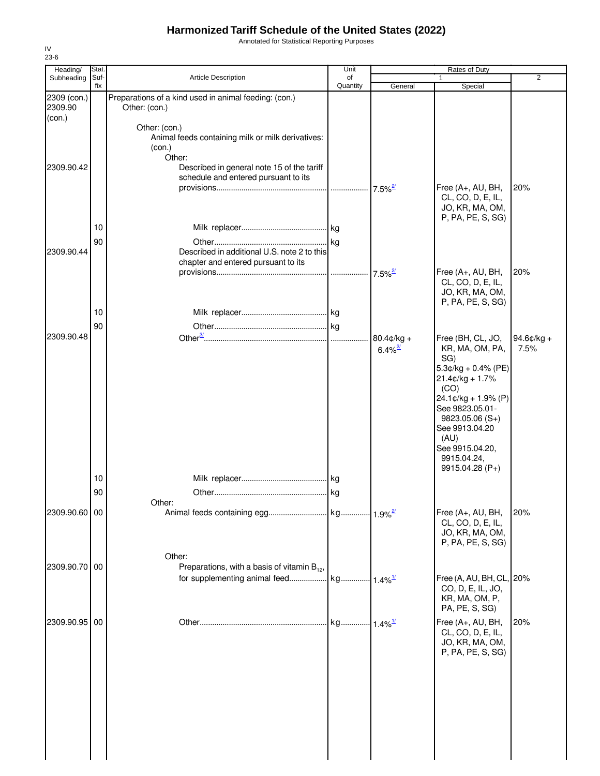Annotated for Statistical Reporting Purposes

| Heading/                         | Stat.       |                                                                                        | Unit           |                                        | <b>Rates of Duty</b>                                                                            |                    |
|----------------------------------|-------------|----------------------------------------------------------------------------------------|----------------|----------------------------------------|-------------------------------------------------------------------------------------------------|--------------------|
| Subheading                       | Suf-<br>fix | Article Description                                                                    | of<br>Quantity | General                                | Special                                                                                         | 2                  |
| 2309 (con.)<br>2309.90<br>(con.) |             | Preparations of a kind used in animal feeding: (con.)<br>Other: (con.)                 |                |                                        |                                                                                                 |                    |
|                                  |             | Other: (con.)<br>Animal feeds containing milk or milk derivatives:<br>(con.)<br>Other: |                |                                        |                                                                                                 |                    |
| 2309.90.42                       |             | Described in general note 15 of the tariff<br>schedule and entered pursuant to its     |                |                                        | Free (A+, AU, BH,                                                                               | 20%                |
|                                  | 10          |                                                                                        |                |                                        | CL, CO, D, E, IL,<br>JO, KR, MA, OM,<br>P, PA, PE, S, SG)                                       |                    |
|                                  | 90          |                                                                                        |                |                                        |                                                                                                 |                    |
| 2309.90.44                       |             | Described in additional U.S. note 2 to this<br>chapter and entered pursuant to its     |                |                                        |                                                                                                 | 20%                |
|                                  |             |                                                                                        |                | $7.5\%$ <sup>2/</sup>                  | Free (A+, AU, BH,<br>CL, CO, D, E, IL,<br>JO, KR, MA, OM,<br>P, PA, PE, S, SG)                  |                    |
|                                  | 10          |                                                                                        |                |                                        |                                                                                                 |                    |
|                                  | 90          |                                                                                        |                |                                        |                                                                                                 |                    |
| 2309.90.48                       |             |                                                                                        |                | $80.4$ ¢/kg +<br>$6.4\%$ <sup>2/</sup> | Free (BH, CL, JO,<br>KR, MA, OM, PA,<br>SG)                                                     | 94.6¢/kg +<br>7.5% |
|                                  |             |                                                                                        |                |                                        | $5.3$ ¢/kg + 0.4% (PE)<br>$21.4$ ¢/kg + 1.7%<br>(CO)<br>24.1¢/kg + 1.9% (P)                     |                    |
|                                  |             |                                                                                        |                |                                        | See 9823.05.01-<br>$9823.05.06(S+)$<br>See 9913.04.20<br>(AU)<br>See 9915.04.20,<br>9915.04.24, |                    |
|                                  |             |                                                                                        |                |                                        | 9915.04.28 (P+)                                                                                 |                    |
|                                  | 10<br>90    |                                                                                        |                |                                        |                                                                                                 |                    |
|                                  |             | Other:                                                                                 | lka.           |                                        |                                                                                                 |                    |
| 2309.90.60                       | 00          |                                                                                        |                |                                        | Free (A+, AU, BH,<br>CL, CO, D, E, IL,<br>JO, KR, MA, OM,<br>P, PA, PE, S, SG)                  | 20%                |
|                                  |             | Other:                                                                                 |                |                                        |                                                                                                 |                    |
| 2309.90.70 00                    |             | Preparations, with a basis of vitamin $B_{12}$ ,                                       |                |                                        | Free (A, AU, BH, CL, 20%                                                                        |                    |
|                                  |             |                                                                                        |                |                                        | CO, D, E, IL, JO,<br>KR, MA, OM, P,<br>PA, PE, S, SG)                                           |                    |
| 2309.90.95                       | 00          |                                                                                        |                |                                        | Free (A+, AU, BH,<br>CL, CO, D, E, IL,<br>JO, KR, MA, OM,<br>P, PA, PE, S, SG)                  | 20%                |
|                                  |             |                                                                                        |                |                                        |                                                                                                 |                    |
|                                  |             |                                                                                        |                |                                        |                                                                                                 |                    |
|                                  |             |                                                                                        |                |                                        |                                                                                                 |                    |

IV